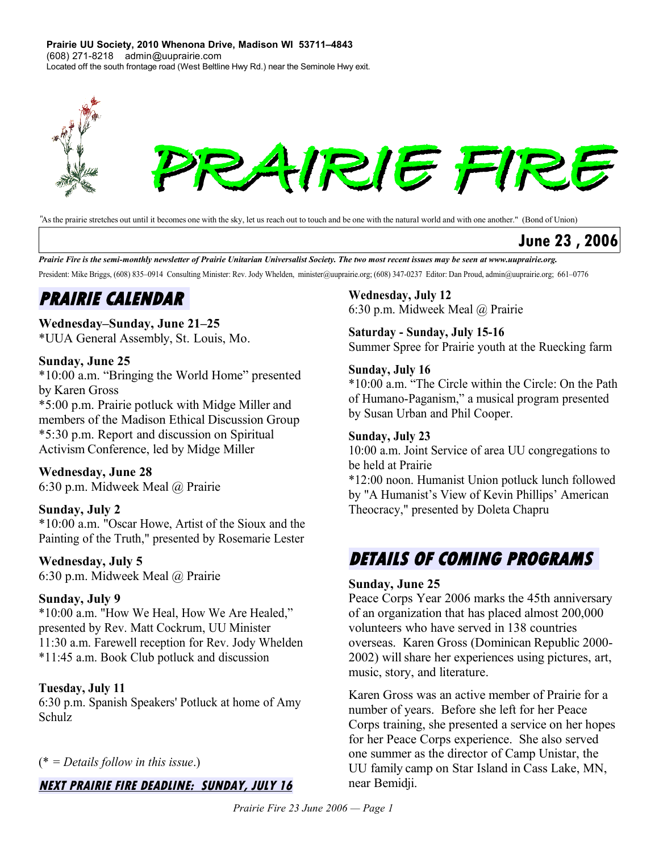**Prairie UU Society, 2010 Whenona Drive, Madison WI 53711–4843** (608) 271-8218 admin@uuprairie.com Located off the south frontage road (West Beltline Hwy Rd.) near the Seminole Hwy exit.



*"*As the prairie stretches out until it becomes one with the sky, let us reach out to touch and be one with the natural world and with one another." (Bond of Union)

**June 23 , 2006**

Prairie Fire is the semi-monthly newsletter of Prairie Unitarian Universalist Society. The two most recent issues may be seen at [www.uuprairie.org.](file:///C:/Documents and Settings/Office/My Documents/Prairie Fire newsletter/2006/PF20060421/www.uuprairie.org) President: Mike Briggs, (608) 835–0914 Consulting Minister: Rev. Jody Whelden, [minister@uuprairie.org;](mailto:minister@uuprairie.org) (608) 347-0237 Editor: Dan Proud, admin@uuprairie.org; 661–0776

## **PRAIRIE CALENDAR**

#### **Wednesday–Sunday, June 21–25**

\*UUA General Assembly, St. Louis, Mo.

#### **Sunday, June 25**

\*10:00 a.m. "Bringing the World Home" presented by Karen Gross

\*5:00 p.m. Prairie potluck with Midge Miller and members of the Madison Ethical Discussion Group \*5:30 p.m. Report and discussion on Spiritual Activism Conference, led by Midge Miller

#### **Wednesday, June 28**

6:30 p.m. Midweek Meal @ Prairie

#### **Sunday, July 2**

\*10:00 a.m. "Oscar Howe, Artist of the Sioux and the Painting of the Truth," presented by Rosemarie Lester

#### **Wednesday, July 5**

6:30 p.m. Midweek Meal @ Prairie

#### **Sunday, July 9**

\*10:00 a.m. "How We Heal, How We Are Healed," presented by Rev. Matt Cockrum, UU Minister 11:30 a.m. Farewell reception for Rev. Jody Whelden \*11:45 a.m. Book Club potluck and discussion

#### **Tuesday, July 11**

6:30 p.m. Spanish Speakers' Potluck at home of Amy Schulz

#### (\* *= Details follow in this issue*.)

#### **NEXT PRAIRIE FIRE DEADLINE: SUNDAY, JULY 16**

#### **Wednesday, July 12**

6:30 p.m. Midweek Meal @ Prairie

#### **Saturday - Sunday, July 15-16**

Summer Spree for Prairie youth at the Ruecking farm

#### **Sunday, July 16**

\*10:00 a.m. "The Circle within the Circle: On the Path of Humano-Paganism," a musical program presented by Susan Urban and Phil Cooper.

#### **Sunday, July 23**

10:00 a.m. Joint Service of area UU congregations to be held at Prairie

\*12:00 noon. Humanist Union potluck lunch followed by "A Humanist's View of Kevin Phillips' American Theocracy," presented by Doleta Chapru

### **DETAILS OF COMING PROGRAMS**

#### **Sunday, June 25**

Peace Corps Year 2006 marks the 45th anniversary of an organization that has placed almost 200,000 volunteers who have served in 138 countries overseas. Karen Gross (Dominican Republic 2000- 2002) willshare her experiences using pictures, art, music, story, and literature.

Karen Gross was an active member of Prairie for a number of years. Before she left for her Peace Corps training, she presented a service on her hopes for her Peace Corps experience. She also served one summer as the director of Camp Unistar, the UU family camp on Star Island in Cass Lake, MN, near Bemidji.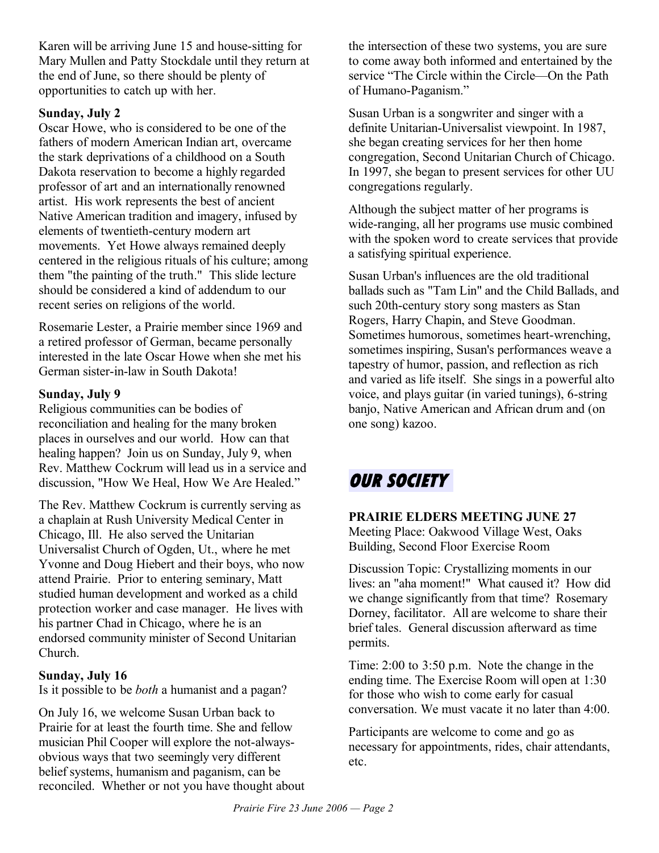Karen will be arriving June 15 and house-sitting for Mary Mullen and Patty Stockdale until they return at the end of June, so there should be plenty of opportunities to catch up with her.

#### **Sunday, July 2**

Oscar Howe, who is considered to be one of the fathers of modern American Indian art, overcame the stark deprivations of a childhood on a South Dakota reservation to become a highly regarded professor of art and an internationally renowned artist. His work represents the best of ancient Native American tradition and imagery, infused by elements of twentieth-century modern art movements. Yet Howe always remained deeply centered in the religious rituals of his culture; among them "the painting of the truth." This slide lecture should be considered a kind of addendum to our recent series on religions of the world.

Rosemarie Lester, a Prairie member since 1969 and a retired professor of German, became personally interested in the late Oscar Howe when she met his German sister-in-law in South Dakota!

#### **Sunday, July 9**

Religious communities can be bodies of reconciliation and healing for the many broken places in ourselves and our world. How can that healing happen? Join us on Sunday, July 9, when Rev. Matthew Cockrum will lead us in a service and discussion, "How We Heal, How We Are Healed."

The Rev. Matthew Cockrum is currently serving as a chaplain at Rush University Medical Center in Chicago, Ill. He also served the Unitarian Universalist Church of Ogden, Ut., where he met Yvonne and Doug Hiebert and their boys, who now attend Prairie. Prior to entering seminary, Matt studied human development and worked as a child protection worker and case manager. He lives with his partner Chad in Chicago, where he is an endorsed community minister of Second Unitarian Church.

#### **Sunday, July 16**

Is it possible to be *both* a humanist and a pagan?

On July 16, we welcome Susan Urban back to Prairie for at least the fourth time. She and fellow musician Phil Cooper will explore the not-alwaysobvious ways that two seemingly very different belief systems, humanism and paganism, can be reconciled. Whether or not you have thought about the intersection of these two systems, you are sure to come away both informed and entertained by the service "The Circle within the Circle—On the Path of Humano-Paganism."

Susan Urban is a songwriter and singer with a definite Unitarian-Universalist viewpoint. In 1987, she began creating services for her then home congregation, Second Unitarian Church of Chicago. In 1997, she began to present services for other UU congregations regularly.

Although the subject matter of her programs is wide-ranging, all her programs use music combined with the spoken word to create services that provide a satisfying spiritual experience.

Susan Urban's influences are the old traditional ballads such as "Tam Lin" and the Child Ballads, and such 20th-century story song masters as Stan Rogers, Harry Chapin, and Steve Goodman. Sometimes humorous, sometimes heart-wrenching, sometimes inspiring, Susan's performances weave a tapestry of humor, passion, and reflection as rich and varied as life itself. She sings in a powerful alto voice, and plays guitar (in varied tunings), 6-string banjo, Native American and African drum and (on one song) kazoo.

# **OUR SOCIETY**

#### **PRAIRIE ELDERS MEETING JUNE 27**

Meeting Place: Oakwood Village West, Oaks Building, Second Floor Exercise Room

Discussion Topic: Crystallizing moments in our lives: an "aha moment!" What caused it? How did we change significantly from that time? Rosemary Dorney, facilitator. All are welcome to share their brief tales. General discussion afterward as time permits.

Time: 2:00 to 3:50 p.m. Note the change in the ending time. The Exercise Room will open at 1:30 for those who wish to come early for casual conversation. We must vacate it no later than 4:00.

Participants are welcome to come and go as necessary for appointments, rides, chair attendants, etc.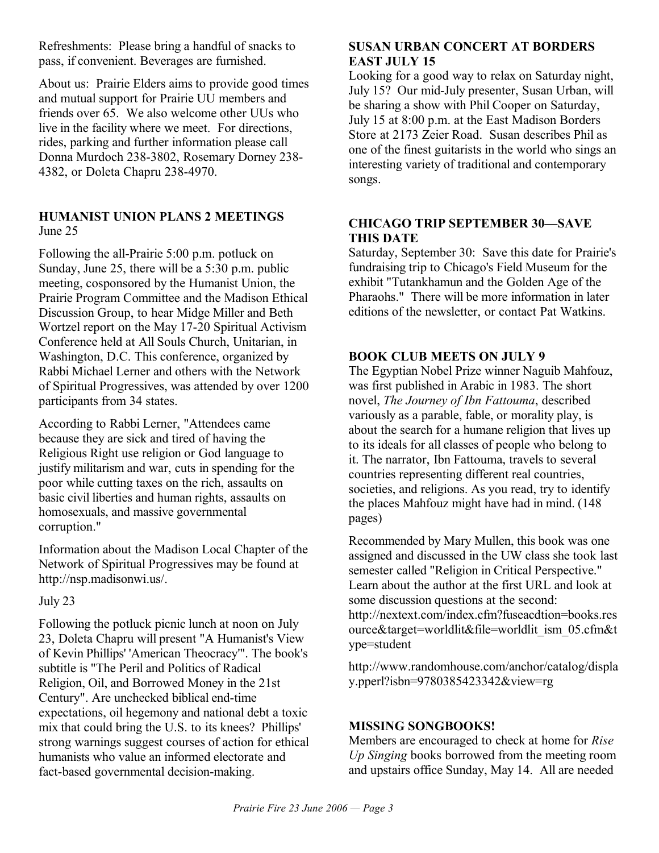Refreshments: Please bring a handful of snacks to pass, if convenient. Beverages are furnished.

About us: Prairie Elders aims to provide good times and mutual support for Prairie UU members and friends over 65. We also welcome other UUs who live in the facility where we meet. For directions, rides, parking and further information please call Donna Murdoch 238-3802, Rosemary Dorney 238- 4382, or Doleta Chapru 238-4970.

#### **HUMANIST UNION PLANS 2 MEETINGS** June 25

Following the all-Prairie 5:00 p.m. potluck on Sunday, June 25, there will be a 5:30 p.m. public meeting, cosponsored by the Humanist Union, the Prairie Program Committee and the Madison Ethical Discussion Group, to hear Midge Miller and Beth Wortzel report on the May 17-20 Spiritual Activism Conference held at All Souls Church, Unitarian, in Washington, D.C. This conference, organized by Rabbi Michael Lerner and others with the Network of Spiritual Progressives, was attended by over 1200 participants from 34 states.

According to Rabbi Lerner, "Attendees came because they are sick and tired of having the Religious Right use religion or God language to justify militarism and war, cuts in spending for the poor while cutting taxes on the rich, assaults on basic civil liberties and human rights, assaults on homosexuals, and massive governmental corruption."

Information about the Madison Local Chapter of the Network of Spiritual Progressives may be found at http://nsp.madisonwi.us/.

July 23

Following the potluck picnic lunch at noon on July 23, Doleta Chapru will present "A Humanist's View of Kevin Phillips' 'American Theocracy'". The book's subtitle is "The Peril and Politics of Radical Religion, Oil, and Borrowed Money in the 21st Century". Are unchecked biblical end-time expectations, oil hegemony and national debt a toxic mix that could bring the U.S. to its knees? Phillips' strong warnings suggest courses of action for ethical humanists who value an informed electorate and fact-based governmental decision-making.

#### **SUSAN URBAN CONCERT AT BORDERS EAST JULY 15**

Looking for a good way to relax on Saturday night, July 15? Our mid-July presenter, Susan Urban, will be sharing a show with Phil Cooper on Saturday, July 15 at 8:00 p.m. at the East Madison Borders Store at 2173 Zeier Road. Susan describes Phil as one of the finest guitarists in the world who sings an interesting variety of traditional and contemporary songs.

#### **CHICAGO TRIP SEPTEMBER 30—SAVE THIS DATE**

Saturday, September 30: Save this date for Prairie's fundraising trip to Chicago's Field Museum for the exhibit "Tutankhamun and the Golden Age of the Pharaohs." There will be more information in later editions of the newsletter, or contact Pat Watkins.

#### **BOOK CLUB MEETS ON JULY 9**

The Egyptian Nobel Prize winner Naguib Mahfouz, was first published in Arabic in 1983. The short novel, *The Journey of Ibn Fattouma*, described variously as a parable, fable, or morality play, is about the search for a humane religion that lives up to its ideals for all classes of people who belong to it. The narrator, Ibn Fattouma, travels to several countries representing different real countries, societies, and religions. As you read, try to identify the places Mahfouz might have had in mind. (148 pages)

Recommended by Mary Mullen, this book was one assigned and discussed in the UW class she took last semester called "Religion in Critical Perspective." Learn about the author at the first URL and look at some discussion questions at the second: http://nextext.com/index.cfm?fuseacdtion=books.res ource&target=worldlit&file=worldlit\_ism\_05.cfm&t ype=student

http://www.randomhouse.com/anchor/catalog/displa y.pperl?isbn=9780385423342&view=rg

#### **MISSING SONGBOOKS!**

Members are encouraged to check at home for *Rise Up Singing* books borrowed from the meeting room and upstairs office Sunday, May 14. All are needed